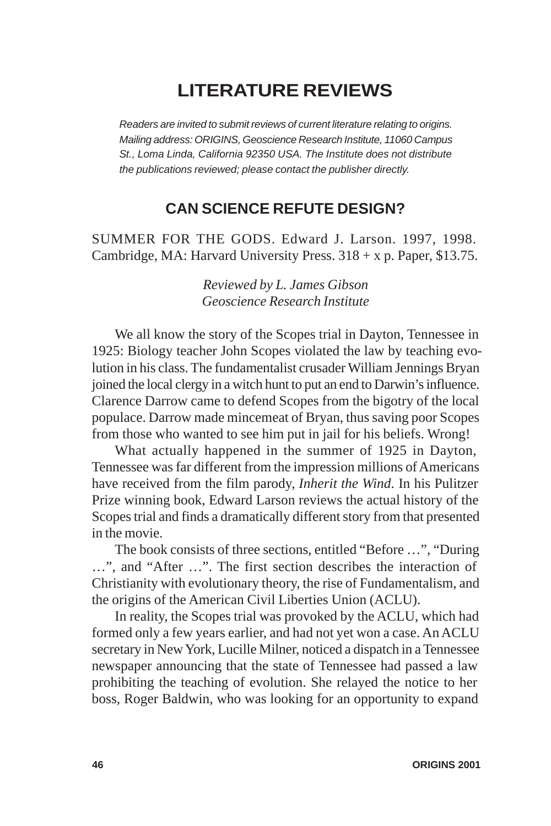## **LITERATURE REVIEWS**

*Readers are invited to submit reviews of current literature relating to origins. Mailing address: ORIGINS, Geoscience Research Institute, 11060 Campus St., Loma Linda, California 92350 USA. The Institute does not distribute the publications reviewed; please contact the publisher directly.*

## **CAN SCIENCE REFUTE DESIGN?**

SUMMER FOR THE GODS. Edward J. Larson. 1997, 1998. Cambridge, MA: Harvard University Press.  $318 + x$  p. Paper, \$13.75.

> *Reviewed by L. James Gibson Geoscience Research Institute*

We all know the story of the Scopes trial in Dayton, Tennessee in 1925: Biology teacher John Scopes violated the law by teaching evolution in his class. The fundamentalist crusader William Jennings Bryan joined the local clergy in a witch hunt to put an end to Darwin's influence. Clarence Darrow came to defend Scopes from the bigotry of the local populace. Darrow made mincemeat of Bryan, thus saving poor Scopes from those who wanted to see him put in jail for his beliefs. Wrong!

What actually happened in the summer of 1925 in Dayton, Tennessee was far different from the impression millions of Americans have received from the film parody, *Inherit the Wind*. In his Pulitzer Prize winning book, Edward Larson reviews the actual history of the Scopes trial and finds a dramatically different story from that presented in the movie.

The book consists of three sections, entitled "Before …", "During …", and "After …". The first section describes the interaction of Christianity with evolutionary theory, the rise of Fundamentalism, and the origins of the American Civil Liberties Union (ACLU).

In reality, the Scopes trial was provoked by the ACLU, which had formed only a few years earlier, and had not yet won a case. An ACLU secretary in New York, Lucille Milner, noticed a dispatch in a Tennessee newspaper announcing that the state of Tennessee had passed a law prohibiting the teaching of evolution. She relayed the notice to her boss, Roger Baldwin, who was looking for an opportunity to expand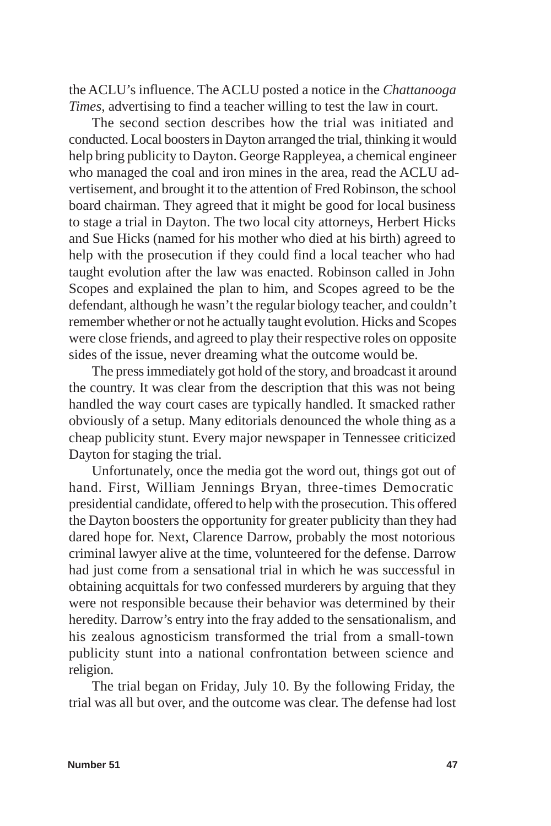the ACLU's influence. The ACLU posted a notice in the *Chattanooga Times*, advertising to find a teacher willing to test the law in court.

The second section describes how the trial was initiated and conducted. Local boosters in Dayton arranged the trial, thinking it would help bring publicity to Dayton. George Rappleyea, a chemical engineer who managed the coal and iron mines in the area, read the ACLU advertisement, and brought it to the attention of Fred Robinson, the school board chairman. They agreed that it might be good for local business to stage a trial in Dayton. The two local city attorneys, Herbert Hicks and Sue Hicks (named for his mother who died at his birth) agreed to help with the prosecution if they could find a local teacher who had taught evolution after the law was enacted. Robinson called in John Scopes and explained the plan to him, and Scopes agreed to be the defendant, although he wasn't the regular biology teacher, and couldn't remember whether or not he actually taught evolution. Hicks and Scopes were close friends, and agreed to play their respective roles on opposite sides of the issue, never dreaming what the outcome would be.

The press immediately got hold of the story, and broadcast it around the country. It was clear from the description that this was not being handled the way court cases are typically handled. It smacked rather obviously of a setup. Many editorials denounced the whole thing as a cheap publicity stunt. Every major newspaper in Tennessee criticized Dayton for staging the trial.

Unfortunately, once the media got the word out, things got out of hand. First, William Jennings Bryan, three-times Democratic presidential candidate, offered to help with the prosecution. This offered the Dayton boosters the opportunity for greater publicity than they had dared hope for. Next, Clarence Darrow, probably the most notorious criminal lawyer alive at the time, volunteered for the defense. Darrow had just come from a sensational trial in which he was successful in obtaining acquittals for two confessed murderers by arguing that they were not responsible because their behavior was determined by their heredity. Darrow's entry into the fray added to the sensationalism, and his zealous agnosticism transformed the trial from a small-town publicity stunt into a national confrontation between science and religion.

The trial began on Friday, July 10. By the following Friday, the trial was all but over, and the outcome was clear. The defense had lost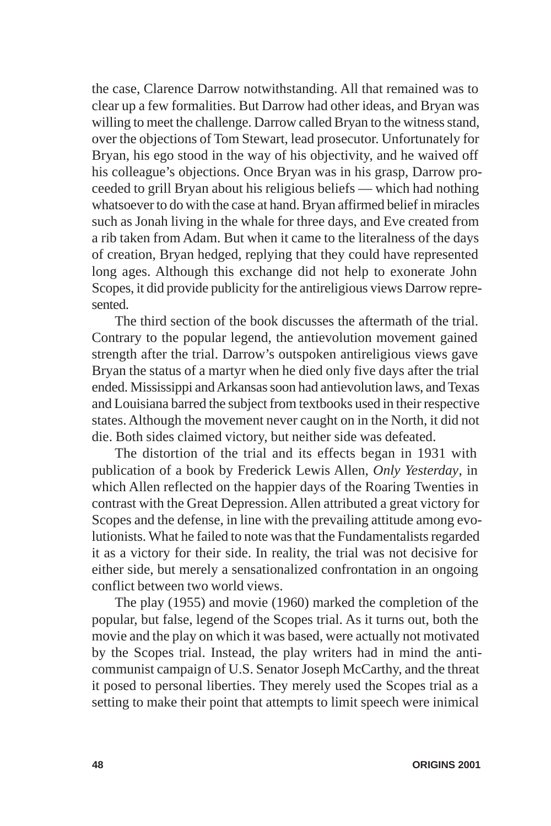the case, Clarence Darrow notwithstanding. All that remained was to clear up a few formalities. But Darrow had other ideas, and Bryan was willing to meet the challenge. Darrow called Bryan to the witness stand, over the objections of Tom Stewart, lead prosecutor. Unfortunately for Bryan, his ego stood in the way of his objectivity, and he waived off his colleague's objections. Once Bryan was in his grasp, Darrow proceeded to grill Bryan about his religious beliefs — which had nothing whatsoever to do with the case at hand. Bryan affirmed belief in miracles such as Jonah living in the whale for three days, and Eve created from a rib taken from Adam. But when it came to the literalness of the days of creation, Bryan hedged, replying that they could have represented long ages. Although this exchange did not help to exonerate John Scopes, it did provide publicity for the antireligious views Darrow represented.

The third section of the book discusses the aftermath of the trial. Contrary to the popular legend, the antievolution movement gained strength after the trial. Darrow's outspoken antireligious views gave Bryan the status of a martyr when he died only five days after the trial ended. Mississippi and Arkansas soon had antievolution laws, and Texas and Louisiana barred the subject from textbooks used in their respective states. Although the movement never caught on in the North, it did not die. Both sides claimed victory, but neither side was defeated.

The distortion of the trial and its effects began in 1931 with publication of a book by Frederick Lewis Allen, *Only Yesterday*, in which Allen reflected on the happier days of the Roaring Twenties in contrast with the Great Depression. Allen attributed a great victory for Scopes and the defense, in line with the prevailing attitude among evolutionists. What he failed to note was that the Fundamentalists regarded it as a victory for their side. In reality, the trial was not decisive for either side, but merely a sensationalized confrontation in an ongoing conflict between two world views.

The play (1955) and movie (1960) marked the completion of the popular, but false, legend of the Scopes trial. As it turns out, both the movie and the play on which it was based, were actually not motivated by the Scopes trial. Instead, the play writers had in mind the anticommunist campaign of U.S. Senator Joseph McCarthy, and the threat it posed to personal liberties. They merely used the Scopes trial as a setting to make their point that attempts to limit speech were inimical